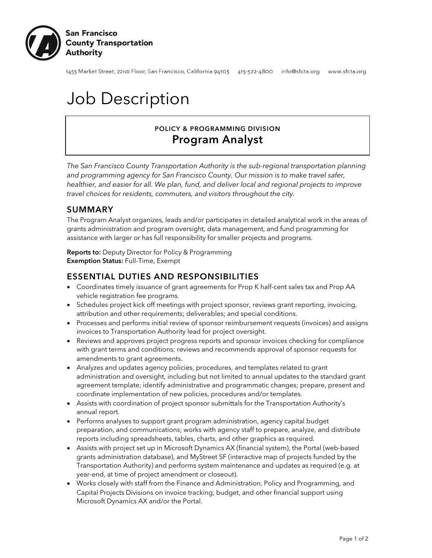

1455 Market Street, 22nɒ Floor, San Francisco, California 94103 415-522-4800 info@sfcta.org www.sfcta.org

# Job Description

# POLICY & PROGRAMMING DIVISION Program Analyst

*The San Francisco County Transportation Authority is the sub-regional transportation planning and programming agency for San Francisco County. Our mission is to make travel safer, healthier, and easier for all. We plan, fund, and deliver local and regional projects to improve travel choices for residents, commuters, and visitors throughout the city.*

### SUMMARY

The Program Analyst organizes, leads and/or participates in detailed analytical work in the areas of grants administration and program oversight, data management, and fund programming for assistance with larger or has full responsibility for smaller projects and programs.

**Reports to:** Deputy Director for Policy & Programming Exemption Status: Full-Time, Exempt

#### ESSENTIAL DUTIES AND RESPONSIBILITIES

- Coordinates timely issuance of grant agreements for Prop K half-cent sales tax and Prop AA vehicle registration fee programs.
- Schedules project kick off meetings with project sponsor, reviews grant reporting, invoicing, attribution and other requirements; deliverables; and special conditions.
- Processes and performs initial review of sponsor reimbursement requests (invoices) and assigns invoices to Transportation Authority lead for project oversight.
- Reviews and approves project progress reports and sponsor invoices checking for compliance with grant terms and conditions; reviews and recommends approval of sponsor requests for amendments to grant agreements.
- Analyzes and updates agency policies, procedures, and templates related to grant administration and oversight, including but not limited to annual updates to the standard grant agreement template; identify administrative and programmatic changes; prepare, present and coordinate implementation of new policies, procedures and/or templates.
- Assists with coordination of project sponsor submittals for the Transportation Authority's annual report.
- Performs analyses to support grant program administration, agency capital budget preparation, and communications; works with agency staff to prepare, analyze, and distribute reports including spreadsheets, tables, charts, and other graphics as required.
- Assists with project set up in Microsoft Dynamics AX (financial system), the Portal (web-based grants administration database), and MyStreet SF (interactive map of projects funded by the Transportation Authority) and performs system maintenance and updates as required (e.g. at year-end, at time of project amendment or closeout).
- Works closely with staff from the Finance and Administration, Policy and Programming, and Capital Projects Divisions on invoice tracking, budget, and other financial support using Microsoft Dynamics AX and/or the Portal.